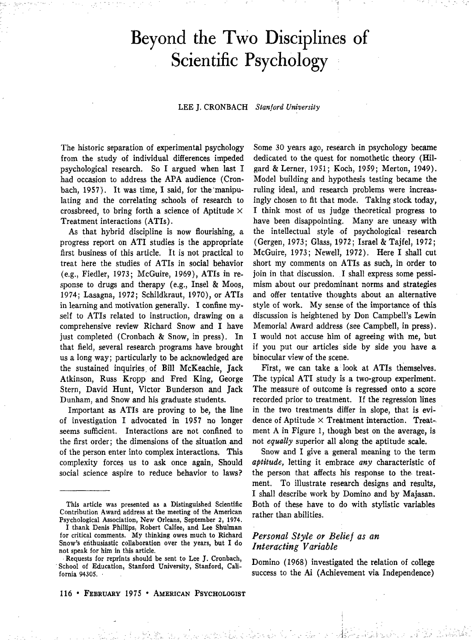# Beyond the Two Disciplines of Scientific Psychology

#### LEE J. CRONBACH *Stanford University*

The historic separation of experimental psychology from the study of individual differences impeded psychological research, So I argued when last I had occasion to address the APA audience (Cronbach, 1957). It was time, I said, for the'manipulating and the correlating schools of research to crossbreed, to bring forth a science of Aptitude  $\times$ Treatment interactions (ATIs).

As that hybrid discipline is now flourishing, a progress report on ATI studies is the appropriate first business of this article. It is not practical to treat here the studies of ATIs in social behavior (e.g., Fiedler, 1973; McGuire, 1969), ATIs in response to drugs and therapy (e.g., Insel & Moos, 1974; Lasagna, 1972; Schildkraut, 1970), or ATIs in learning and motivation generally. I confine myself to ATIs related to instruction, drawing on a comprehensive review Richard Snow and I have just completed (Cronbach & Snow, in press). In that field, several research programs have brought us a long way; particularly to be acknowledged are the sustained inquiries, of Bill McKeachie, Jack Atkinson, Russ Kropp and Fred King, George Stern, David Hunt, Victor Bunderson and Jack Dunham, and Snow and his graduate students.

Important as ATIs are proving to be, the line of investigation I advocated in 1957 no longer seems sufficient. Interactions are not confined to the first order; the dimensions of the situation and of the person enter into complex interactions. This complexity forces us to ask once again, Should social science aspire to reduce behavior to laws?

Some 30 years ago, research in psychology became dedicated to the quest for nomothetic theory (Hilgard & Lerner, 1951; Koch, 1959; Merton, 1949). Model building and hypothesis testing became the ruling ideal, and research problems were increasingly chosen to fit that mode. Taking stock today, I think most of us judge theoretical progress to have been disappointing. Many are uneasy with the intellectual style of psychological research (Gergen, 1973; Glass, 1972; Israel & Tajfel, 1972; McGuire, 1973; Newell, 1972). Here I shall cut short my comments on ATIs as such, in order to join in that discussion. I shall express some pessimism about our predominant norms and strategies and offer tentative thoughts about an alternative style of work. My sense of the importance of this discussion is heightened by Don Campbell's Lewin Memorial Award address (see Campbell, in press). I would not accuse him of agreeing with me, but if you put our articles side by side you have a binocular view of the scene.

First, we can take a look at ATIs themselves. The typical ATI study is a two-group experiment. The measure of outcome is regressed onto a score recorded prior to treatment. If the regression lines in the two treatments differ in slope, that is evidence of Aptitude  $\times$  Treatment interaction. Treatment A in Figure 1, though best on the average, is not *equally* superior all along the aptitude scale.

Snow and I give a general meaning to the term *aptitude,* letting it embrace *any* characteristic of the person that affects his response to the. treatment. To illustrate research designs and results, I shall describe work by Domino and by Majasan. Both of these have to do with stylistic variables rather than abilities.

# *Personal Style or Belief as an Interacting Variable*

Domino (1968) investigated the relation of college success to the Ai (Achievement via Independence)

This article was presented as a Distinguished Scientific Contribution Award address at the meeting of the American Psychological Association, New Orleans, September 2, 1974.

I thank Denis Phillips, Robert Calfee, and Lee Shulman for critical comments. My thinking owes much to Richard Snow's enthusiastic collaboration over the years, but I do not speak for him in this article.

Requests for reprints should be sent to Lee J. Cronbach, School of Education, Stanford University, Stanford, California 9430S. •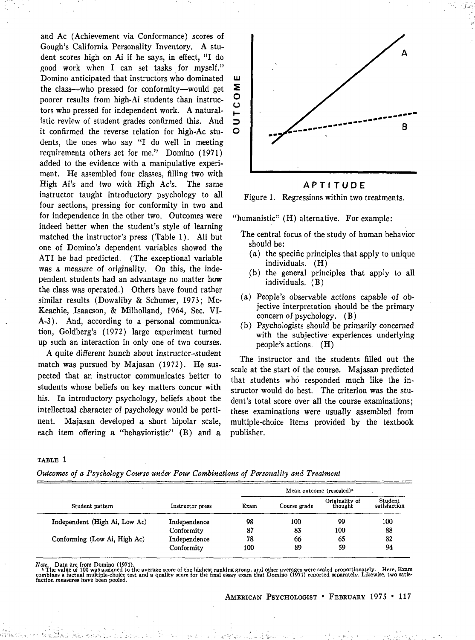and Ac (Achievement via Conformance) scores of Cough's California Personality Inventory. A student scores high on Ai if he says, in effect, "I do good work when I can set tasks for myself." Domino anticipated that instructors who dominated the class—who pressed for conformity—would get poorer results from high-Ai students than instructors who pressed for independent work. A naturalistic review of student grades confirmed this. And it confirmed the reverse relation for high-Ac students, the ones who say "I do well in meeting requirements others set for me." Domino (1971) added to the evidence with a manipulative experiment. He assembled four classes, filling two with High Ai's and two with High Ac's. The same instructor taught introductory psychology to all four sections, pressing for conformity in two and for independence in the other two. Outcomes were indeed better when the student's style of learning matched the instructor's press (Table 1). All but one of Domino's dependent variables showed the ATI he had predicted. (The exceptional variable was a measure of originality. On this, the independent students had an advantage no matter how the class was operated.) Others have found rather similar results (Dowaliby & Schumer, 1973; Mc-Keachie, Isaacson, & Milholland, 1964, Sec. VI-A-3). And, according to a personal communication, Goldberg's (1972) large experiment turned up such an interaction in only one of two courses.

A quite different hunch about instructor-student match was pursued by Majasan (1972). He suspected that an instructor communicates better to students whose beliefs on key matters concur with his. In introductory psychology, beliefs about the intellectual character of psychology would be pertinent. Majasan developed a short bipolar scale, each item offering a "behavioristic" (B) and a





Figure 1. Regressions within two treatments.

"humanistic" (H) alternative. For example:

- The central focus of the study of human behavior should be:
	- (a) the specific principles that apply to unique individuals. (H)
	- (b) the general principles that apply to all individuals. (B)
- (a) People's observable actions capable of objective interpretation should be the primary concern of psychology. (B)
- (b) Psychologists should be primarily concerned with the subjective experiences underlying people's actions. (H)

The instructor and the students filled out the scale at the start of the course. Majasan predicted that students who responded much like the instructor would do best. The criterion was the student's total score over all the course examinations; these examinations were usually assembled from multiple-choice items provided by the textbook publisher.

#### TABLE 1

*Outcomes of a Psychology Course under Four Combinations of Personality and Treatment*

| Student pattern               | Instructor press | Mean outcome (rescaled) <sup>8</sup> |              |                           |                         |
|-------------------------------|------------------|--------------------------------------|--------------|---------------------------|-------------------------|
|                               |                  | Exam                                 | Course grade | Originality of<br>thought | Student<br>satisfaction |
| Independent (High Ai, Low Ac) | Independence     | 98                                   | 100          | 99                        | 100                     |
|                               | Conformity       | 87                                   | 83           | 100                       | 88                      |
| Conforming (Low Ai, High Ac)  | Independence     | 78                                   | 66           | 65                        | 82                      |
|                               | Conformity       | 100                                  | 89           | 59                        | 94                      |

Note. Data are from Domino (1971).<br>" The value of 100 was assigned to the average score of the highest ranking group, and other averages were scaled proportionately. Here, Exam<br>combines a factual multiple-choice test and a **faction measures have been pooled.**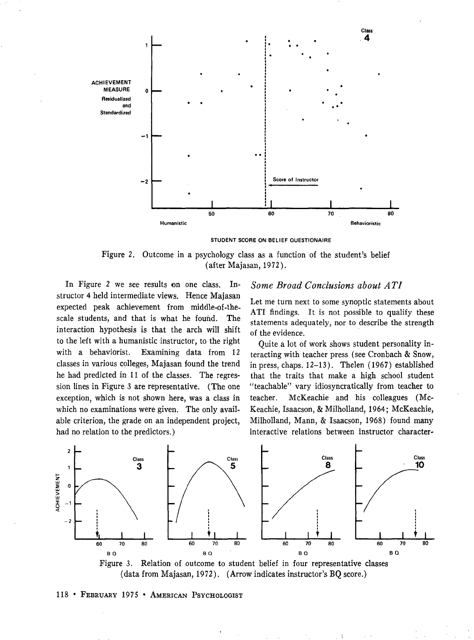

**STUDENT SCORE ON BELIEF QUESTIONAIRE**

Figure 2. Outcome in a psychology class as a function of the student's belief (after Majasan, 1972).

In Figure 2 we see results on one class. Instructor 4 held intermediate views. Hence Majasan expected peak achievement from middle-of-thescale students, and that is what he found. The interaction hypothesis is that the arch will shift to the left with a humanistic instructor, to the right with a behaviorist. Examining data from 12 classes in various colleges, Majasan found the trend he had predicted in 11 of the classes. The regression lines in Figure 3 are representative. (The one exception, which is not shown here, was a class in which no examinations were given. The only available criterion, the grade on an independent project, had no relation to the predictors.)

## *Some Broad Conclusions about ATI*

Let me turn next to some synoptic statements about ATI findings. It is not possible to qualify these statements adequately, nor to describe the strength of the evidence.

Quite a lot of work shows student personality interacting with teacher press (see Cronbach & Snow, in press, chaps. 12-13). Thelen (1967) established that the traits that make a high school student "teachable" vary idiosyncratically from teacher to teacher. McKeachie and his colleagues (Mc-Keachie, Isaacson, & Milholland, 1964; McKeachie, Milholland, Mann, & Isaacson, 1968) found many interactive relations between instructor character-





118 • FEBRUARY 1975 • AMERICAN PSYCHOLOGIST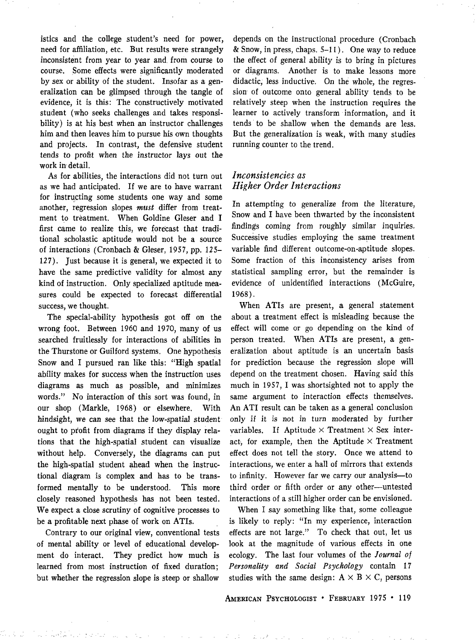istics and the college student's need for power, need for affiliation, etc. But results were strangely inconsistent from year to year and from course to course. Some effects were significantly moderated by sex or ability of the student. Insofar as a generalization can be glimpsed through the tangle of evidence, it is this: The constructively motivated student (who seeks challenges and takes responsibility) is at his best when an instructor challenges him and then leaves him to pursue his own thoughts and projects. In contrast, the defensive student tends to profit when the instructor lays out the work in detail.

As for abilities, the interactions did not turn out as we had anticipated. If we are to have warrant for instructing some students one way and some another, regression slopes *must* differ from treatment to treatment. When Goldine Gleser and I first came to realize this, we forecast that traditional scholastic aptitude would not be a source of interactions (Cronbach & Gleser, 1957, pp. 125- 127). Just because it is general, we expected it to have the same predictive validity for almost any kind of instruction. Only specialized aptitude measures could be expected to forecast differential success, we thought.

The special-ability hypothesis got off on the wrong foot. Between 1960 and 1970, many of us searched fruitlessly for interactions of abilities in the Thurstone or Guilford systems. One hypothesis Snow and I pursued ran like this: "High spatial ability makes for success when the instruction uses diagrams as much as possible, and minimizes words." No interaction of this sort was found, in our shop (Markle, 1968) or elsewhere. With hindsight, we can see that the low-spatial student ought to profit from diagrams if they display relations that the high-spatial student can visualize without help. Conversely, the diagrams can put the high-spatial student ahead when the instructional diagram is complex and has to be transformed mentally to be understood. This more closely reasoned hypothesis has not been tested. We expect a close scrutiny of cognitive processes to be a profitable next phase of work on ATIs.

Contrary to our original view, conventional tests of mental ability or level of educational development do interact. They predict how much is learned from most instruction of fixed duration; but whether the regression slope is steep or shallow

depends on the instructional procedure (Cronbach & Snow, in press, chaps. 5-11). One way to reduce the effect of general ability is to bring in pictures or diagrams. Another is to make lessons more didactic, less inductive. On the whole, the regression of outcome onto general ability tends to be relatively steep when the instruction requires the learner to actively transform information, and it tends to be shallow when the demands are less. But the generalization is weak, with many studies running counter to the trend.

# *Inconsistencies as Higher Order Interactions*

In attempting to generalize from the literature, Snow and I have been thwarted by the inconsistent findings coming from roughly similar inquiries. Successive studies employing the same treatment variable find different outcome-on-aptitude slopes. Some fraction of this inconsistency arises from statistical sampling error, but the remainder is evidence of unidentified interactions (McGuire, 1968).

When ATIs are present, a general statement about a treatment effect is misleading because the effect will come or go depending on the kind of person treated. When ATIs are present, a generalization about aptitude is an uncertain basis for prediction because the regression slope will depend on the treatment chosen. Having said this much in 1957, I was shortsighted not to apply the same argument to interaction effects themselves. An ATI result can be taken as a general conclusion only if it is not in turn moderated by further variables. If Aptitude  $\times$  Treatment  $\times$  Sex interact, for example, then the Aptitude  $\times$  Treatment effect does not tell the story. Once we attend to interactions, we enter a hall of mirrors that extends to infinity. However far we carry our analysis—to third order or fifth order or any other—untested interactions of a still higher order can be envisioned.

When I say something like that, some colleague is likely to reply: "In my experience, interaction effects are not large." To check that out, let us look at the magnitude of various effects in one ecology. The last four volumes of the *Journal of Personality and Social Psychology* contain 17 studies with the same design:  $A \times B \times C$ , persons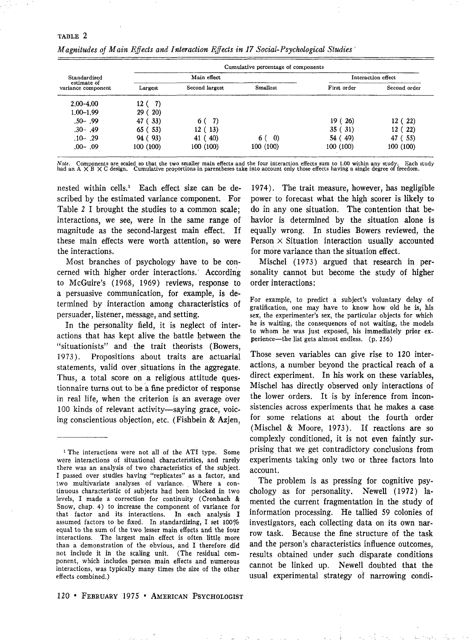| Standardized<br>estimate of<br>variance component | Cumulative percentage of components |                |           |                    |              |  |  |
|---------------------------------------------------|-------------------------------------|----------------|-----------|--------------------|--------------|--|--|
|                                                   | Main effect                         |                |           | Interaction effect |              |  |  |
|                                                   | Largest                             | Second largest | Smallest  | First order        | Second order |  |  |
| $2.00 - 4.00$                                     | 12(7)                               |                |           |                    |              |  |  |
| $1.00 - 1.99$                                     | 29(20)                              |                |           |                    |              |  |  |
| $.50 - .99$                                       | 47 (33)                             | - 7)<br>6 (    |           | 19(26)             | 12(22)       |  |  |
| $.30 - .49$                                       | 65(53)                              | 12(13)         |           | 35(31)             | 12(22)       |  |  |
| $.10 - .29$                                       | 94 (93)                             | 41 (40)        | 6(0)      | 54 (49)            | 47 (55)      |  |  |
| $.00 - .09$                                       | 100 (100)                           | 100 (100)      | 100 (100) | 100 (100)          | 100 (100)    |  |  |

#### *Magniiudes of Main Effects and Interaction Effects in 17 Social-Psychological Studies '*

*Note.* Components are scaled so that the two smaller main effects and the four interaction effects sum to 1.00 within any study. Each study<br>had an A  $\times$  B  $\times$  C design. Cumulative proportions in parentheses take into a

nested within cells.<sup>1</sup> Each effect size can be described by the estimated variance component. For Table 2 I brought the studies to a common scale; interactions, we see, were in the same range of magnitude as the second-largest main effect. If these main effects were worth attention, so were the interactions.

TABLE 2

Most branches of psychology have to be concerned with higher order interactions.' According to McGuire's (1968, 1969) reviews, response to a persuasive communication, for example, is determined by interaction among characteristics of persuader, listener, message, and setting.

In the personality field, it is neglect of interactions that has kept alive the battle between the "situationists" and the trait theorists (Bowers, 1973). Propositions about traits are actuarial statements, valid over, situations in the aggregate. Thus, a total score on a religious attitude questionnaire turns out to be a fine predictor of response in real life, when the criterion is an average over 100 kinds of relevant activity—saying grace, voicing conscientious objection, etc. (Fishbein & Azjen,

1974). The trait measure, however, has negligible power to forecast what the high scorer is likely to do in any one situation. The contention that behavior is determined by the situation alone is equally wrong. In studies Bowers reviewed, the Person  $\times$  Situation interaction usually accounted for more variance than the situation effect.

Mischel (1973) argued that research in personality cannot but become the study of higher order interactions:

For example, to predict a subject's voluntary delay of gratification, one may have to know how old he is, his sex, the experimenter's sex, the particular objects for which he is waiting, the consequences of not waiting, the models to whom he was just exposed, his immediately prior experience—the list gets almost endless, (p. 256)

Those seven variables can give rise to 120 interactions, a number beyond the practical reach of a direct experiment. In his work on these variables, Mischel has directly observed only interactions of the lower orders. It is by inference from inconsistencies across experiments that he makes a case for some relations at about the fourth order (Mischel & Moore, 1973). If reactions are so complexly conditioned, it is not even faintly surprising that we get contradictory conclusions from experiments taking only two or three factors into account.

The problem is as pressing for cognitive psychology as for personality. Newell (1972) lamented the current fragmentation in the study of information processing. He tallied 59 colonies of investigators, each collecting data on its own narrow task. Because the fine structure of the task and the person's characteristics influence outcomes, results obtained under such disparate conditions cannot be linked up. Newell doubted that the usual experimental strategy of narrowing condi-

<sup>&</sup>lt;sup>1</sup> The interactions were not all of the ATI type. Some were interactions of situational characteristics, and rarely there was an analysis of two characteristics of the subject. I passed over studies having "replicates" as a factor, and two multivariate analyses of variance. Where a continuous characteristic of subjects had been blocked in two levels, I made a correction for continuity (Cronbach & Snow, chap. 4) to increase the component of variance for that factor and its interactions. In each analysis I assumed factors to be fixed. In standardizing, I set 100% equal to the sum of the two lesser main effects and the four interactions. The largest main effect is often little more than a demonstration of the obvious, and I therefore did not include it in the scaling unit. (The residual component, which includes person main effects and numerous interactions, was typically many times the size of the other effects combined.)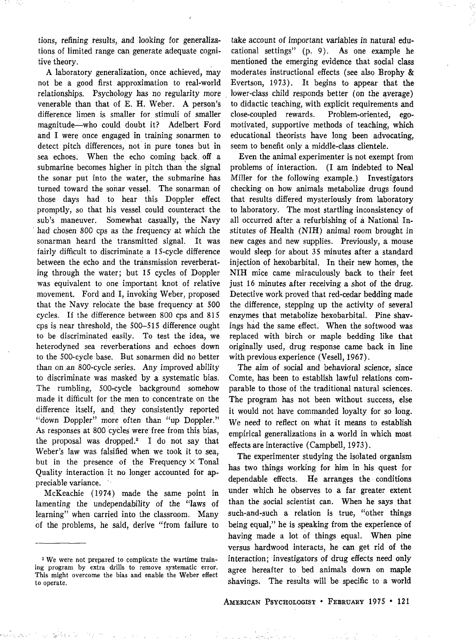tions, refining results, and looking for generalizations of limited range can generate adequate cognitive theory.

A laboratory generalization, once achieved, may not be a good first approximation to real-world relationships. Psychology has no regularity more venerable than that of E. H. Weber. A person's difference limen is smaller for stimuli of smaller magnitude—who could doubt it? Adelbert Ford and I were once engaged in training sonarmen to detect pitch differences, not in pure tones but in sea echoes. When the echo coming back, off a submarine becomes higher in pitch than the signal the sonar put into the water, the submarine has turned toward the sonar vessel. The sonarman of those days had to hear this Doppler effect promptly, so that his vessel could counteract the sub's maneuver. Somewhat casually, the Navy had chosen 800 cps as the frequency at which the sonarman heard the transmitted signal. It was fairly difficult to discriminate a IS-cycle difference between the echo and the transmission reverberating through the water; but IS cycles of Doppler was equivalent to one important knot of relative movement. Ford and I, invoking Weber, proposed that the Navy relocate the base frequency at SOO cycles. If the difference between 800 cps and 815 cps is near threshold, the SOO-S1S difference ought to be discriminated easily. To test the idea, we heterodyned sea reverberations and echoes down to the SOO-cycle base. But sonarmen did no better than on .an SOO-cycle series. Any improved ability to discriminate was masked by a systematic bias. The rumbling, SOO-cycle background somehow made it difficult for the men to concentrate on the difference itself, and they consistently reported "down Doppler" more often than "up Doppler." As responses at 800 cycles were free from this bias, the proposal was dropped.<sup>2</sup> I do not say that Weber's law was falsified when we took it to sea, but in the presence of the Frequency  $\times$  Tonal Quality interaction it no longer accounted for appreciable variance.

McKeachie (1974) made the same point in lamenting the undependability of the "laws of learning" when carried into the classroom. Many of the problems, he said, derive "from failure to

take account of important variables in natural educational settings" (p. 9). As one example he mentioned the emerging evidence that social class moderates instructional effects (see also Brophy & Evertson, 1973). It begins to appear that the lower-class child responds better (on the average) to didactic teaching, with explicit requirements and close-coupled rewards. Problem-oriented, egomotivated, supportive methods of teaching, which educational theorists have long been advocating, seem to benefit only a middle-class clientele.

Even the animal experimenter is not exempt from problems of interaction. (I am indebted to Neal Miller for the following example.) Investigators checking on how animals metabolize drugs found that results differed mysteriously from laboratory to laboratory. The most startling inconsistency of all occurred after a refurbishing of a National Institutes of Health (NIH) animal room brought in new cages and new supplies. Previously, a mouse would sleep for about 35 minutes after a standard injection of hexobarbital. In their new homes, the NIH mice came miraculously back to their feet just 16 minutes after receiving a shot of the drug. Detective work proved that red-cedar bedding made the difference, stepping up the activity of several enzymes that metabolize hexobarbital. Pine shavings had the same effect. When the softwood was replaced with birch or maple bedding like that originally used, drug response came back in line with previous experience (Vesell, 1967).

The aim of social and behavioral science, since Comte, has been to establish lawful relations comparable to those of the traditional natural sciences. The program has not been without success, else it would not have commanded loyalty for so long. We need to reflect on what it means to establish empirical generalizations in a world in which most effects are interactive (Campbell, 1973).

The experimenter studying the isolated organism has two things working for him in his quest for dependable effects. He arranges the conditions under which he observes to a far greater extent than the social scientist can. When he says that such-and-such a relation is true, "other things being equal," he is speaking from the experience of having made a lot of things equal. When pine versus hardwood interacts, he can get rid of the interaction; investigators of drug effects need only agree hereafter to bed animals down on maple shavings. The results will be specific to a world

<sup>&</sup>lt;sup>2</sup> We were not prepared to complicate the wartime training program by extra drills to remove systematic error. This might overcome the bias and enable the Weber effect to operate.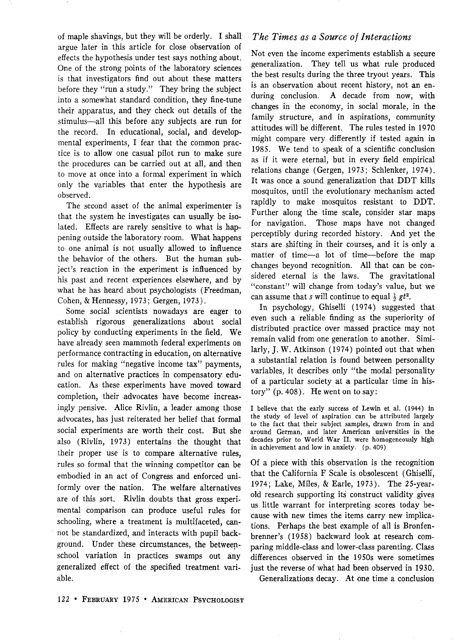of maple shavings, but they will be orderly. I shall argue later in this article for close observation of effects the hypothesis under test says nothing about. One of the strong points of the laboratory sciences is that investigators find out about these matters before they "run a study." They bring the subject into a somewhat standard condition, they fine-tune their apparatus, and they check out details of the stimulus—all this before any subjects are run for the record. In educational, social, and developmental experiments, I fear that the common practice is to allow one casual pilot run to make sure the procedures can be carried out at all, and then to move at once into a formal experiment in which only the variables that enter the hypothesis are observed.

The second asset of the animal experimenter is that the system he investigates can usually be isolated. Effects are rarely sensitive to what is happening outside the laboratory room. What happens to one animal is not usually allowed to influence the behavior of the others. But the human subject's reaction in the experiment is influenced by his past and recent experiences elsewhere, and by what he has heard about psychologists (Freedman, Cohen, & Hennessy, 1973; Gergen, 1973).

Some social scientists nowadays are eager to establish rigorous generalizations about social policy by conducting experiments in the field. We have already seen mammoth federal experiments on performance contracting in education, on alternative rules for making "negative income tax" payments, and on alternative practices in compensatory education. As these experiments have moved toward completion, their advocates have become increasingly pensive. Alice Rivlin, a leader among those advocates, has just reiterated her belief that formal social experiments are worth their cost. But she also (Rivlin, 1973) entertains the thought that their proper use is to compare alternative rules, rules so formal that the winning competitor can be embodied in an act of Congress and enforced uniformly over the nation. The welfare alternatives are of this sort. Rivlin doubts that gross experimental comparison can produce useful rules for schooling, where a treatment is multifaceted, cannot be standardized, and interacts with pupil background. Under these circumstances, the betweenschool variation in practices swamps out any generalized effect of the specified treatment variable.

## *The Times as a Source of Interactions*

Not even the income experiments establish a secure generalization. They tell us what rule produced the best results during the three tryout years. This is an observation about recent history, not an enduring conclusion. A decade from now, with changes in the economy, in social morale, in the family structure, and in aspirations, community attitudes will be different. The rules tested in 1970 might compare very differently if tested again in 1985. We tend to speak of a scientific conclusion as if it were eternal, but in every field empirical relations change (Gergen, 1973; Schlenker, 1974). It was once a sound generalization that DDT kills mosquitos, until the evolutionary mechanism acted rapidly to make mosquitos resistant to DDT. Further along the time scale, consider star maps for navigation. Those maps have not changed perceptibly during recorded history. And yet the stars are shifting in their courses, and it is only a matter of time—a lot of time—before the map changes beyond recognition. All that can be considered eternal is the laws. The gravitational "constant" will change from today's value, but we can assume that *s* will continue to equal  $\frac{1}{2}gt^2$ .

In psychology, Ghiselli (1974) suggested that even such a reliable finding as the superiority of distributed practice over massed practice may not remain valid from one generation to another. Similarly, J. W. Atkinson (1974) pointed out that when a substantial relation is found between personality variables, it describes only "the modal personality of a particular society at a particular time in history" (p. 408). He went on to say:

I believe that the early success of Lewin et al. (1944) in the study of level of aspiration can be attributed largely to the fact that their subject samples, drawn from in and around German, and later American universities in the decades prior to World War II, were homogeneously high in achievement and low in anxiety, (p. 409)

Of a piece with this observation is the recognition that the California F Scale is obsolescent (Ghiselli, 1974; Lake, Miles, & Earle, 1973). The 25-yearold research supporting its construct validity gives us little warrant for interpreting scores today because with new times the items carry new implications. Perhaps the best example of all is Bronfenbrenner's (1958) backward look at research comparing middle-class and lower-class parenting. Class differences observed in the 1950s were sometimes just the reverse of what had been observed in 1930.

Generalizations decay. At one time a conclusion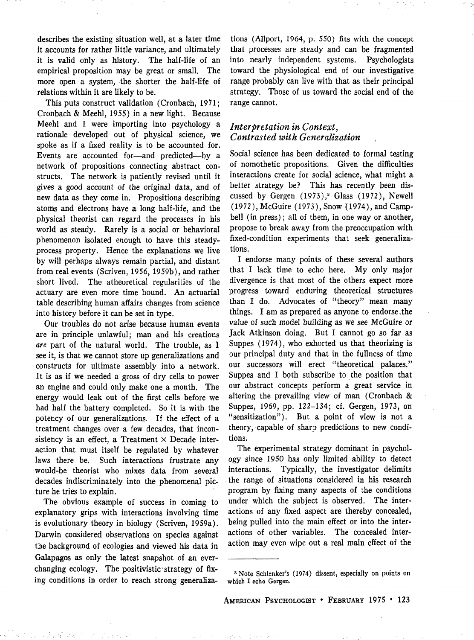describes the existing situation well, at a later time it accounts for rather little variance, and ultimately it is valid only as history. The half-life of an empirical proposition may be great or small. The more open a system, the shorter the half-life of relations within it are likely to be.

This puts construct validation (Cronbach, 1971; Cronbach & Meehl, *1955)* in a new light. Because Meehl and I were importing into psychology a rationale developed out of physical science, we spoke as if a fixed reality is to be accounted for. Events are accounted for—and predicted—by a network of propositions connecting abstract constructs. The network is patiently revised until it gives a good account of the original data, and of new data as they come in. Propositions describing atoms and electrons have a long half-life, and the physical theorist can regard the processes in his world as steady. Rarely is a social or behavioral phenomenon isolated enough to have this steadyprocess property. Hence the explanations we live by will perhaps always remain partial, and distant from real events (Scriven, *1956,* 19S9b), and rather short lived. The atheoretical regularities of the actuary are even more time bound. An actuarial table describing human affairs changes from science into history before it can be set in type.

Our troubles do not arise because human events are in principle unlawful; man and his creations *are* part of the natural world. The trouble, as I see it, is that we cannot store up generalizations and constructs for ultimate assembly into a network. It is as if we needed a gross of dry cells to power an engine and could only make one a month. The energy would leak out of the first cells before we had half the battery completed. So it is with the potency of our generalizations. If the effect of a treatment changes over a few decades, that inconsistency is an effect, a Treatment  $\times$  Decade interaction that must itself be regulated by whatever laws there be. Such interactions frustrate any would-be theorist who mixes data from several decades indiscriminately into the phenomenal picture he tries to explain.

The obvious example of success in coming to explanatory grips with interactions involving time is evolutionary theory in biology (Scriven, 19S9a). Darwin considered observations on species against the background of ecologies and viewed his data in Galapagos as only the latest snapshot of an everchanging ecology. The positivistic'strategy of fixing conditions in order to reach strong generaliza-

tions (Allport, 1964, p. 550) fits with the concept that processes are steady and can be fragmented into nearly independent systems. Psychologists toward the physiological end of our investigative range probably can live with that as their principal strategy. Those of us toward the social end of the range cannot.

# *Interpretation in Context, Contrasted with Generalization*

Social science has been dedicated to formal testing of nomothetic propositions. Given the difficulties interactions create for social science, what might a better strategy be? This has recently been discussed by Gergen (1973),<sup>3</sup> Glass (1972), Newell (1972), McGuire (1973), Snow (1974), and Campbell (in press); all of them, in one way or another, propose to break away from the preoccupation with fixed-condition experiments that seek generalizations.

I endorse many points of these several authors that I lack time to echo here. My only major divergence is that most of the others expect more progress toward enduring theoretical structures than I do. Advocates of "theory" mean many things. I am as prepared as anyone to endorse,the value of such model building as we see McGuire or Jack Atkinson doing. But I cannot go so far as Suppes (1974), who exhorted us that theorizing is our principal duty and that in the fullness of time our successors will erect "theoretical palaces." Suppes and I both subscribe to the position that our abstract concepts perform a great service in altering the prevailing view of man (Cronbach & Suppes, 1969, pp. 122-134; cf. Gergen, 1973, on "sensitization"). But a point of view is not a theory, capable of sharp predictions to new conditions.

The experimental strategy dominant in psychology since 1950 has only limited ability to detect interactions. Typically, the investigator delimits the range of situations considered in his research program by fixing many aspects of the conditions under which the subject is observed. The interactions of any fixed aspect are thereby concealed, being pulled into the main effect or into the interactions of other variables. The concealed interaction may even wipe out a real main effect of the

<sup>3</sup> Note Schlenker's (1974) dissent, especially on points on which I echo Gergen.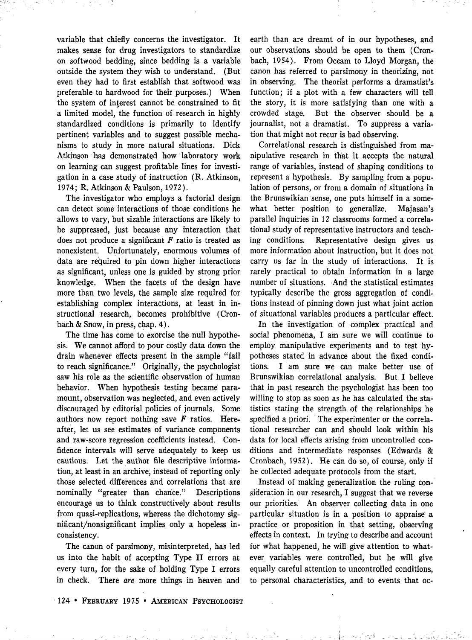variable that chiefly concerns the investigator. It makes sense for drug investigators to standardize on softwood bedding, since bedding is a variable outside the system they wish to understand. (But even they had to first establish that softwood was preferable to hardwood for their purposes.) When the system of interest cannot be constrained to fit a limited model, the function of research in highly standardized conditions is primarily to identify pertinent variables and to suggest possible mechanisms to study in more natural situations. Dick Atkinson has demonstrated how laboratory work on learning can suggest profitable lines for investigation in a case study of instruction (R. Atkinson, 1974; R. Atkinson & Paulson, 1972).

The investigator who employs a factorial design can detect some interactions of those conditions he allows to vary, but sizable interactions are likely to be suppressed, just because any interaction that does not produce a significant *F* ratio is treated as nonexistent. Unfortunately, enormous volumes of data are required to pin down higher interactions as significant, unless one is guided by strong prior knowledge. When the facets of the design have more than two levels, the sample size required for establishing complex interactions, at least in instructional research, becomes prohibitive (Cronbach & Snow, in press, chap. 4).

The time has come to exorcise the null hypothesis. We cannot afford to pour costly data down the drain whenever effects present in the sample "fail to reach significance." Originally, the psychologist saw his role as the scientific observation of human behavior. When hypothesis testing became paramount, observation was neglected, and even actively discouraged by editorial policies of journals. Some authors now report nothing save *F* ratios. Hereafter, let us see estimates of variance components and raw-score regression coefficients instead. Confidence intervals will serve adequately to keep us cautious. Let the author file descriptive information, at least in an archive, instead of reporting only those selected differences and correlations that are nominally "greater than chance." Descriptions encourage us to think constructively about results from quasi-replications, whereas the dichotomy significant/nonsignificant implies only a hopeless inconsistency.

The canon of parsimony, misinterpreted, has led us into the habit of accepting Type II errors at every turn, for the sake of holding Type I errors in check. There *are* more things in heaven and earth than are dreamt of in our hypotheses, and our observations should be open to them (Cronbach, 1954). From Occam to Lloyd Morgan, the canon has referred to parsimony in theorizing, not in observing. The theorist performs a dramatist's function; if a plot with a few characters will tell the story, it is more satisfying than one with a crowded stage. But the observer should be a journalist, not a dramatist. To suppress a variation that might not recur is bad observing.

Correlational research is distinguished from manipulative research in that it accepts the natural range of variables, instead of shaping conditions to represent a hypothesis. By sampling from a population of persons, or from a domain of situations in the Brunswikian sense, one puts himself in a somewhat better position to generalize. Majasan's parallel inquiries in 12 classrooms formed a correlational study of representative instructors and teaching conditions. Representative design gives us more information about instruction, but it does not carry us far in the study of interactions. It is rarely practical to obtain information in a large number of situations. And the statistical estimates typically describe the gross aggregation of conditions instead of pinning down just what joint action of situational variables produces a particular effect.

In the investigation of complex practical and social phenomena, I am sure we will continue to employ manipulative experiments and to test hypotheses stated in advance about the fixed conditions. I am sure we can make better use of Brunswikian correlational analysis. But I believe that in past research the psychologist has been too willing to stop as soon as he has calculated the statistics stating the strength of the relationships he specified a priori. The experimenter or the correlational researcher can and should look within his data for local effects arising from uncontrolled conditions and intermediate responses (Edwards & Cronbach, 1952). He can do so, of course, only if he collected adequate protocols from the start.

Instead of making generalization the ruling consideration in our research, I suggest that we reverse our priorities. An observer collecting data in one particular situation is in a position to appraise a practice or proposition in that setting, observing effects in context. In trying to describe and account for what happened, he will give attention to whatever variables were controlled, but he will give equally careful attention to uncontrolled conditions, to personal characteristics, and to events that oc-

经紧张率 化三乙酸乙酸乙酸铵

124 • FEBRUARY 1975 • AMERICAN PSYCHOLOGIST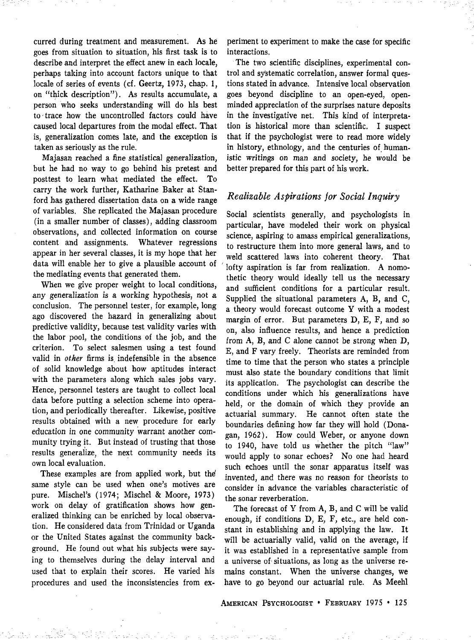curred during treatment and measurement. As he goes from situation to situation, his first task is to describe and interpret the effect anew in each locale, perhaps taking into account factors unique to that locale of series of events (cf. Geertz, 1973, chap. 1, on "thick description"). As results accumulate, a person who seeks understanding will do his best to-trace how the uncontrolled factors could have caused local departures from the modal effect. That is, generalization comes late, and the exception is taken as seriously as the rule,

Majasan reached a fine statistical generalization, but he had no way to go behind his pretest and posttest to learn what mediated the effect. To carry the work further. Katharine Baker at Stanford has gathered dissertation data on a wide range of variables. She replicated the Majasan procedure (in a smaller number of classes), adding classroom observations, and collected information on course content and assignments. Whatever regressions appear in her several classes, it is my hope that her data will enable her to give a plausible account of the mediating events that generated them.

When we give proper weight to local conditions, any generalization is a working hypothesis, not a conclusion. The personnel tester, for example, long ago discovered the hazard in generalizing about predictive validity, because test validity varies with the labor pool, the conditions of the job, and the criterion. To select salesmen using a test found valid in *other* firms is indefensible in the absence of solid knowledge about how aptitudes interact with the parameters along which sales jobs vary. Hence, personnel testers are taught to collect local data before putting a selection scheme into operation, and periodically thereafter. Likewise, positive results obtained with a new procedure for early education in one community warrant another community trying it. But instead of trusting that those results generalize, the next community needs its own local evaluation.

These examples are from applied work, but the same style can be used when one's motives are pure. Mischel's (1974; Mischel & Moore, 1973) work on delay of gratification shows how generalized thinking can be enriched by local observation. He considered data from Trinidad or Uganda or the United States against the community background. He found out what his subjects were saying to themselves during the delay interval and used that to explain their scores. He varied his procedures and used the inconsistencies from experiment to experiment to make the case for specific interactions,

The two scientific disciplines, experimental control and systematic correlation, answer formal questions stated in advance. Intensive local observation goes beyond discipline to an open-eyed, openminded appreciation of the surprises nature deposits in the investigative net. This kind of interpretation is historical more than scientific. I suspect that if the psychologist were to read more widely in history, ethnology, and the centuries of humanistic writings on man and society, he would be better prepared for this part of his work.

## *Realizable Aspirations for Social Inquiry*

Social scientists generally, and psychologists in particular, have modeled their work on physical science, aspiring to amass empirical generalizations, to restructure them into more general laws, and to weld scattered laws into coherent theory. That lofty aspiration is far from realization. A nomothetic theory would ideally tell us the necessary and sufficient conditions for a particular result. Supplied the situational parameters A, B, and C, a theory would forecast outcome Y with a modest margin of error. But parameters D, E, F, and so on, also influence results, and hence a prediction from A, B, and C alone cannot be strong when D, E, and F vary freely. Theorists are reminded from time to time that the person who states a principle must also state the boundary conditions that limit its application. The psychologist can describe the conditions under which his generalizations have held, or the domain of which they provide an actuarial summary. He cannot often state the boundaries defining how far they will hold (Donagan, 1962). How could Weber, or anyone down to 1940, have told us whether the pitch "law" would apply to sonar echoes? No one had heard such echoes until the sonar apparatus itself was invented, and there was no reason for theorists to consider in advance the variables characteristic of the sonar reverberation.

The forecast of Y from A, B, and C will be valid enough, if conditions D, E, F, etc., are held constant in establishing and in applying the law. It will be actuarially valid, valid on the average, if it was established in a representative sample from a universe of situations, as long as the universe remains constant. When the universe changes, we have to go beyond our actuarial rule. As Meehl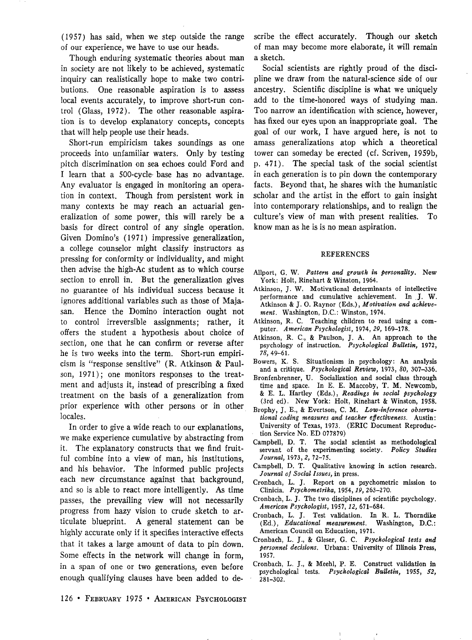(1957) has said, when we step outside the range of our experience, we have to use our heads.

Though enduring systematic theories about man in society are not likely to be achieved, systematic inquiry can realistically hope to make two contributions. One reasonable aspiration is to assess local events accurately, to improve short-run control (Glass, 1972). The other reasonable aspiration is to develop explanatory concepts, concepts that will help people use their heads.

Short-run empiricism takes soundings as one proceeds into unfamiliar waters. Only by testing pitch discrimination on sea echoes could Ford and I learn that a SOO-cycle- base has no advantage. Any evaluator is engaged in monitoring an operation in context. Though from persistent work in many contexts he may reach an actuarial generalization of some power, this will rarely be a basis for direct control of any single operation, Given Domino's (1971) impressive generalization, a college counselor might classify instructors as pressing for conformity or individuality, and might then advise the high-Ac student as to which course section to enroll in. But the generalization gives no guarantee of his individual success because it ignores additional variables such as those of Majasan. Hence the Domino interaction ought not to control irreversible assignments; rather, it offers the student a hypothesis about choice of section, one that he can confirm or reverse after he is two weeks into the term. Short-run empiricism is "response sensitive" (R. Atkinson & Paulson, 1971); one monitors responses to the treatment and adjusts it, instead of prescribing a fixed treatment on the basis of a generalization from prior experience with other persons or in other locales.

In order to give a wide reach to our explanations, we make experience cumulative by abstracting from it. The explanatory constructs that we find fruitful combine into a view of man, his institutions, and his behavior. The informed public projects each new circumstance against that background, and so is able to react more intelligently. As time passes, the prevailing view will not necessarily progress from hazy vision to crude sketch to articulate blueprint. A general statement can be highly accurate only if it specifies interactive effects that it takes a large amount of data to pin down. Some effects in the network will change in form, in a span of one or two generations, even before enough qualifying clauses have been added to describe the effect accurately. Though our sketch of man may become more elaborate, it will remain a sketch.

Social scientists are rightly proud of the discipline we draw from the natural-science side of our ancestry. Scientific discipline is what we uniquely add to the time-honored ways of studying man. Too narrow an identification with science, however, has fixed our eyes upon an inappropriate goal. The goal of our work, I have argued here, is not to amass generalizations atop which a theoretical tower can someday be erected (cf. Scriven, 19S9b, p. 471). The special task of the social scientist in each generation is to pin down the contemporary facts. Beyond that, he shares with the humanistic scholar and the artist in the effort to gain insight into contemporary relationships, and to realign the culture's view of man with present realities. To know man as he is is no mean aspiration.

#### REFERENCES

- Allport, G. W. *Pattern and growth in personality.* New York: Holt, Rinehart & Winston, 1964.
- Atkinson, J. W. Motivational determinants of intellective performance and cumulative achievement. In J. W. Atkinson & J. O. Raynor (Eds.), *Motivation and achievement.* Washington, D.C.: Winston, 1974.
- Atkinson, R. C. Teaching children to read using a computer. *American Psychologist,* 1974, *29,* 169-178.
- Atkinson, R. C., & Paulson, J. A. An approach to the psychology of instruction. *Psychological Bulletin,* 1972, *78,* 49-61.
- Bowers, K. S. Situationism in psychology: An analysis and a critique. *Psychological Review,* 1973, *80,* 307-336.
- Bronfenbrenner, U. Socialization and social class through time and space. In E. E. Maccoby, T. M. Newcomb, & E. L. Hartley (Eds.), *Readings in social psychology* (3rd ed). New York: Holt, Rinehart & Winston, 19S8.
- Brophy, J. E., & Evertson, C. M. *Low-inference observational coding measures and teacher effectiveness.* Austin: University of Texas, 1973. (ERIC Document Reproduction Service No. ED 077879)
- Campbell, D. T. The social scientist as methodological servant of the experimenting society. *Policy Studies Journal,* 1973, *2,* 72-7S.
- Campbell, D. T. Qualitative knowing in action research. *Journal of Social Issues,* in press.
- Cronbach, L. J. Report on a psychometric mission to Clinicia. *Psychometrika,* 1954, *19,* 263-270.
- Cronbach, L. J. The two disciplines of scientific psychology. *American Psychologist,* 19S7, *12,* 671-684.
- Cronbach, L. J. Test validation. In R. L. Thorndike (Ed.), *Educational measurement.* Washington, D.C.: American Council on Education, 1971.
- Cronbach, L. J., & Gleser, G. C. *Psychological tests and personnel decisions.* Urbana: University of Illinois Press, 19S7.
- Cronbach, L. J., & Meehl, P. E. Construct validation in psychological tests. *Psychological Bulletin, 1955, 52,* 281-302.